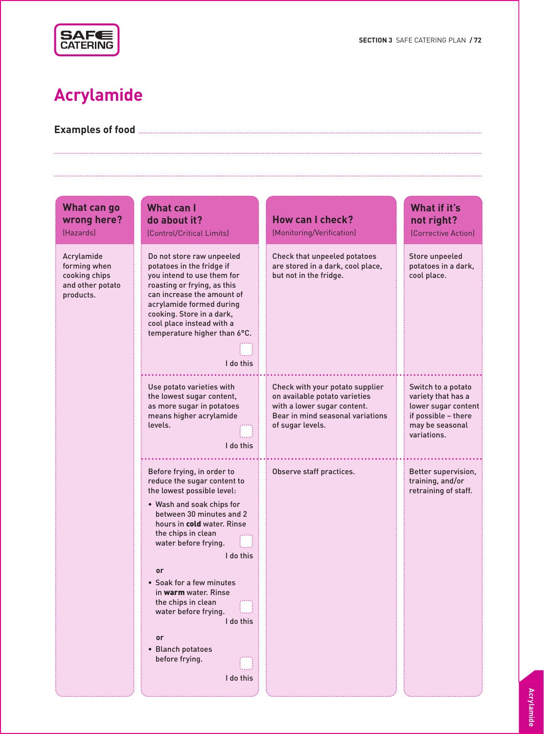

# **Acrylamide**

**Examples of food**

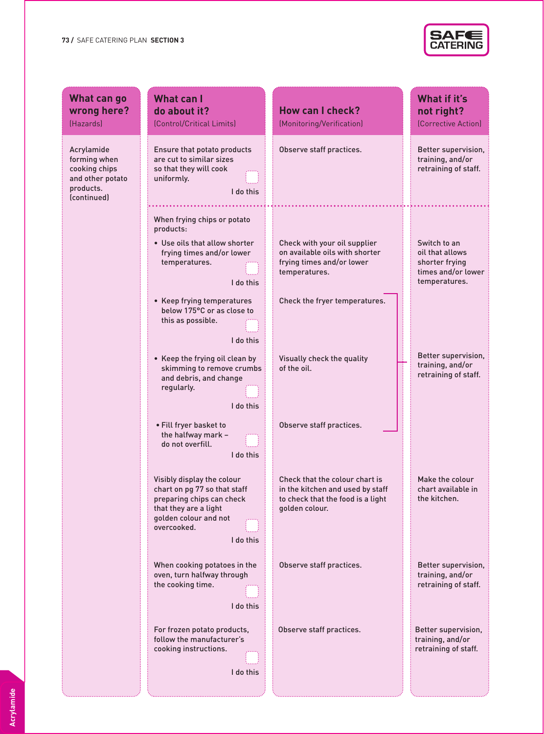

| What can go                                                                                 | <b>What can I</b>                                                                                                                                                                                                     |                                                                                                                                               | What if it's                                                                             |
|---------------------------------------------------------------------------------------------|-----------------------------------------------------------------------------------------------------------------------------------------------------------------------------------------------------------------------|-----------------------------------------------------------------------------------------------------------------------------------------------|------------------------------------------------------------------------------------------|
| wrong here?                                                                                 | do about it?                                                                                                                                                                                                          | <b>How can I check?</b>                                                                                                                       | not right?                                                                               |
| (Hazards)                                                                                   | (Control/Critical Limits)                                                                                                                                                                                             | (Monitoring/Verification)                                                                                                                     | (Corrective Action)                                                                      |
| Acrylamide<br>forming when<br>cooking chips<br>and other potato<br>products.<br>(continued) | Ensure that potato products<br>are cut to similar sizes<br>so that they will cook<br>uniformly.<br>I do this                                                                                                          | Observe staff practices.                                                                                                                      | Better supervision,<br>training, and/or<br>retraining of staff.                          |
|                                                                                             | When frying chips or potato<br>products:<br>• Use oils that allow shorter<br>frying times and/or lower<br>temperatures.<br>I do this<br>• Keep frying temperatures<br>below 175°C or as close to<br>this as possible. | Check with your oil supplier<br>on available oils with shorter<br>frying times and/or lower<br>temperatures.<br>Check the fryer temperatures. | Switch to an<br>oil that allows<br>shorter frying<br>times and/or lower<br>temperatures. |
|                                                                                             | I do this<br>• Keep the frying oil clean by<br>skimming to remove crumbs<br>and debris, and change<br>regularly.<br>I do this                                                                                         | Visually check the quality<br>of the oil.                                                                                                     | Better supervision,<br>training, and/or<br>retraining of staff.                          |
|                                                                                             | • Fill fryer basket to<br>the halfway mark -<br>do not overfill.<br>I do this                                                                                                                                         | Observe staff practices.                                                                                                                      |                                                                                          |
|                                                                                             | Visibly display the colour<br>chart on pg 77 so that staff<br>preparing chips can check<br>that they are a light<br>golden colour and not<br>overcooked.<br>I do this                                                 | Check that the colour chart is<br>in the kitchen and used by staff<br>to check that the food is a light<br>golden colour.                     | Make the colour<br>chart available in<br>the kitchen.                                    |
|                                                                                             | When cooking potatoes in the<br>oven, turn halfway through<br>the cooking time.<br>I do this                                                                                                                          | Observe staff practices.                                                                                                                      | Better supervision,<br>training, and/or<br>retraining of staff.                          |
|                                                                                             | For frozen potato products,<br>follow the manufacturer's<br>cooking instructions.<br>I do this                                                                                                                        | Observe staff practices.                                                                                                                      | Better supervision,<br>training, and/or<br>retraining of staff.                          |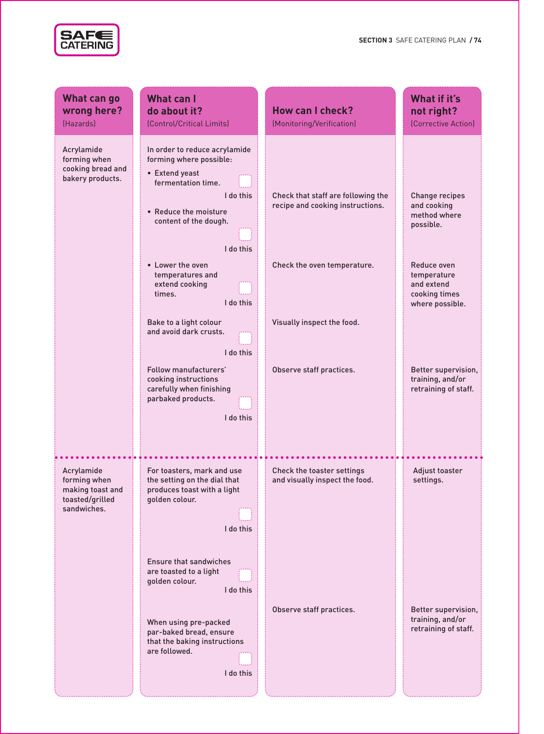

| What can go                                                                      | <b>What can I</b>                                                                                                                                                                                |                                                                                                       | What if it's                                                                     |
|----------------------------------------------------------------------------------|--------------------------------------------------------------------------------------------------------------------------------------------------------------------------------------------------|-------------------------------------------------------------------------------------------------------|----------------------------------------------------------------------------------|
| wrong here?                                                                      | do about it?                                                                                                                                                                                     | <b>How can I check?</b>                                                                               | not right?                                                                       |
| (Hazards)                                                                        | (Control/Critical Limits)                                                                                                                                                                        | (Monitoring/Verification)                                                                             | (Corrective Action)                                                              |
| Acrylamide<br>forming when<br>cooking bread and<br>bakery products.              | In order to reduce acrylamide<br>forming where possible:<br>• Extend yeast<br>fermentation time.<br>I do this<br>• Reduce the moisture<br>content of the dough.<br>I do this<br>• Lower the oven | Check that staff are following the<br>recipe and cooking instructions.<br>Check the oven temperature. | <b>Change recipes</b><br>and cooking<br>method where<br>possible.<br>Reduce oven |
|                                                                                  | temperatures and<br>extend cooking<br>times.<br>I do this                                                                                                                                        |                                                                                                       | temperature<br>and extend<br>cooking times<br>where possible.                    |
|                                                                                  | Bake to a light colour<br>and avoid dark crusts.<br>I do this                                                                                                                                    | Visually inspect the food.                                                                            |                                                                                  |
|                                                                                  | Follow manufacturers'<br>cooking instructions<br>carefully when finishing<br>parbaked products.<br>I do this                                                                                     | Observe staff practices.                                                                              | Better supervision,<br>training, and/or<br>retraining of staff.                  |
| Acrylamide<br>forming when<br>making toast and<br>toasted/grilled<br>sandwiches. | For toasters, mark and use<br>the setting on the dial that<br>produces toast with a light<br>golden colour.<br>I do this                                                                         | Check the toaster settings<br>and visually inspect the food.                                          | Adjust toaster<br>settings.                                                      |
|                                                                                  | <b>Ensure that sandwiches</b><br>are toasted to a light<br>golden colour.<br>I do this                                                                                                           |                                                                                                       |                                                                                  |
|                                                                                  | When using pre-packed<br>par-baked bread, ensure<br>that the baking instructions<br>are followed.<br>I do this                                                                                   | Observe staff practices.                                                                              | Better supervision,<br>training, and/or<br>retraining of staff.                  |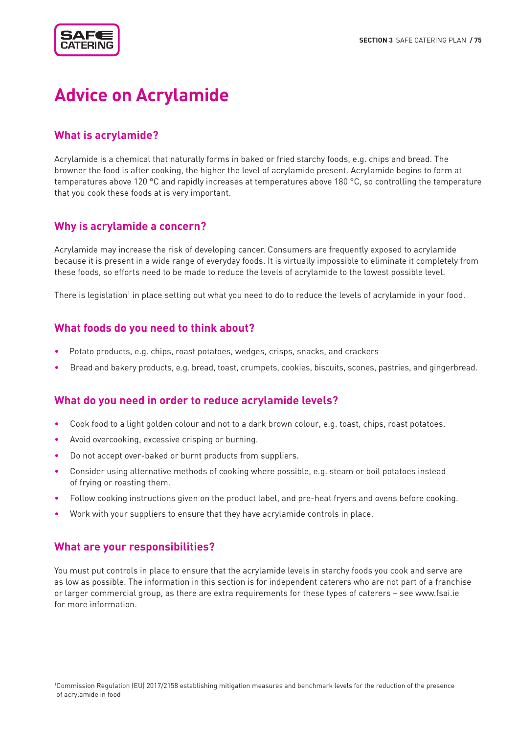

# **Advice on Acrylamide**

# **What is acrylamide?**

Acrylamide is a chemical that naturally forms in baked or fried starchy foods, e.g. chips and bread. The browner the food is after cooking, the higher the level of acrylamide present. Acrylamide begins to form at temperatures above 120 °C and rapidly increases at temperatures above 180 °C, so controlling the temperature that you cook these foods at is very important.

#### **Why is acrylamide a concern?**

Acrylamide may increase the risk of developing cancer. Consumers are frequently exposed to acrylamide because it is present in a wide range of everyday foods. It is virtually impossible to eliminate it completely from these foods, so efforts need to be made to reduce the levels of acrylamide to the lowest possible level.

There is legislation<sup>1</sup> in place setting out what you need to do to reduce the levels of acrylamide in your food.

### **What foods do you need to think about?**

- Potato products, e.g. chips, roast potatoes, wedges, crisps, snacks, and crackers
- Bread and bakery products, e.g. bread, toast, crumpets, cookies, biscuits, scones, pastries, and gingerbread.

#### **What do you need in order to reduce acrylamide levels?**

- Cook food to a light golden colour and not to a dark brown colour, e.g. toast, chips, roast potatoes.
- Avoid overcooking, excessive crisping or burning.
- Do not accept over-baked or burnt products from suppliers.
- •Consider using alternative methods of cooking where possible, e.g. steam or boil potatoes instead of frying or roasting them.
- Follow cooking instructions given on the product label, and pre-heat fryers and ovens before cooking.
- Work with your suppliers to ensure that they have acrylamide controls in place.

#### **What are your responsibilities?**

You must put controls in place to ensure that the acrylamide levels in starchy foods you cook and serve are as low as possible. The information in this section is for independent caterers who are not part of a franchise or larger commercial group, as there are extra requirements for these types of caterers – see www.fsai.ie for more information.